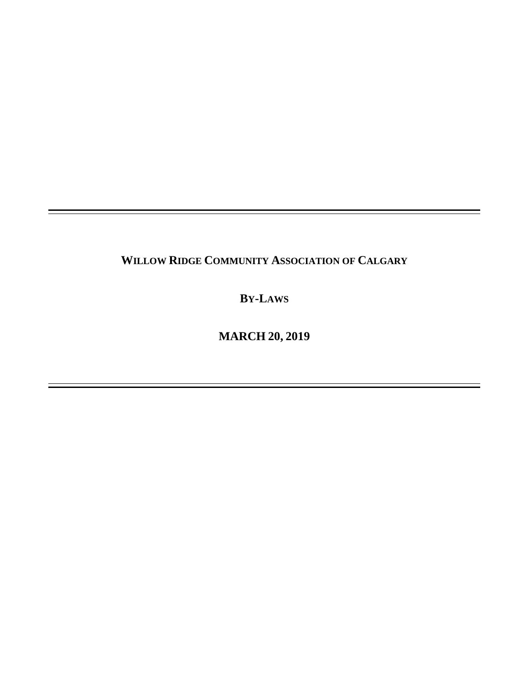## **WILLOW RIDGE COMMUNITY ASSOCIATION OF CALGARY**

**BY-LAWS**

**MARCH 20, 2019**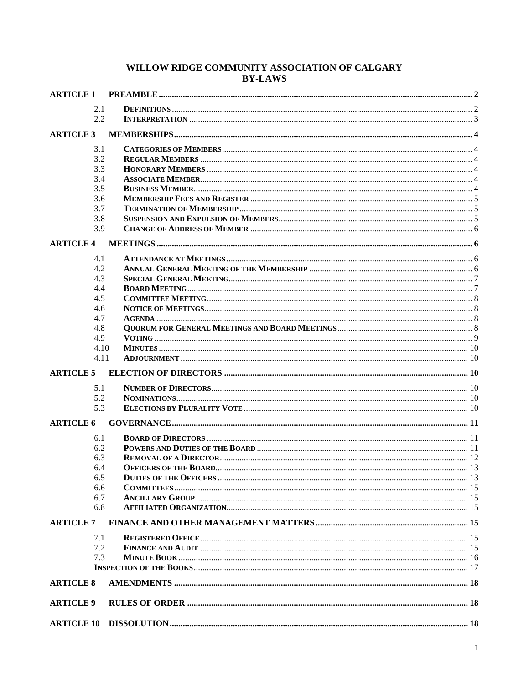# WILLOW RIDGE COMMUNITY ASSOCIATION OF CALGARY BY-LAWS

| <b>ARTICLE 1</b> |  |  |
|------------------|--|--|
| 2.1              |  |  |
| 2.2              |  |  |
|                  |  |  |
| <b>ARTICLE 3</b> |  |  |
| 3.1              |  |  |
| 3.2              |  |  |
| 3.3              |  |  |
| 3.4              |  |  |
| 3.5              |  |  |
| 3.6              |  |  |
| 3.7              |  |  |
| 3.8<br>3.9       |  |  |
|                  |  |  |
| <b>ARTICLE 4</b> |  |  |
| 4.1              |  |  |
| 4.2              |  |  |
| 4.3              |  |  |
| 4.4              |  |  |
| 4.5              |  |  |
| 4.6              |  |  |
| 4.7              |  |  |
| 4.8              |  |  |
| 4.9              |  |  |
| 4.10             |  |  |
| 4.11             |  |  |
| <b>ARTICLE 5</b> |  |  |
| 5.1              |  |  |
| 5.2              |  |  |
| 5.3              |  |  |
| <b>ARTICLE 6</b> |  |  |
| 6.1              |  |  |
| 6.2              |  |  |
| 6.3              |  |  |
| 6.4              |  |  |
| 6.5              |  |  |
| 6.6              |  |  |
| 6.7              |  |  |
| 6.8              |  |  |
| <b>ARTICLE 7</b> |  |  |
| 7.1              |  |  |
| 7.2              |  |  |
| 7.3              |  |  |
|                  |  |  |
| <b>ARTICLE 8</b> |  |  |
|                  |  |  |
| <b>ARTICLE 9</b> |  |  |
|                  |  |  |
|                  |  |  |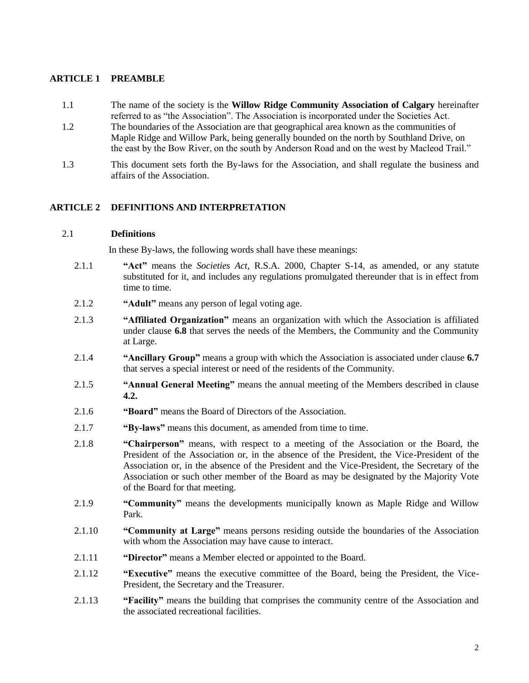## <span id="page-2-0"></span>**ARTICLE 1 PREAMBLE**

- 1.1 The name of the society is the **Willow Ridge Community Association of Calgary** hereinafter referred to as "the Association". The Association is incorporated under the Societies Act.
- 1.2 The boundaries of the Association are that geographical area known as the communities of Maple Ridge and Willow Park, being generally bounded on the north by Southland Drive, on the east by the Bow River, on the south by Anderson Road and on the west by Macleod Trail."
- 1.3 This document sets forth the By-laws for the Association, and shall regulate the business and affairs of the Association.

## **ARTICLE 2 DEFINITIONS AND INTERPRETATION**

## <span id="page-2-1"></span>2.1 **Definitions**

In these By-laws, the following words shall have these meanings:

- 2.1.1 **"Act"** means the *Societies Act*, R.S.A. 2000, Chapter S-14, as amended, or any statute substituted for it, and includes any regulations promulgated thereunder that is in effect from time to time.
- 2.1.2 **"Adult"** means any person of legal voting age.
- 2.1.3 **"Affiliated Organization"** means an organization with which the Association is affiliated under clause **6.8** that serves the needs of the Members, the Community and the Community at Large.
- 2.1.4 **"Ancillary Group"** means a group with which the Association is associated under clause **6.7** that serves a special interest or need of the residents of the Community.
- 2.1.5 **"Annual General Meeting"** means the annual meeting of the Members described in clause **4.2.**
- 2.1.6 **"Board"** means the Board of Directors of the Association.
- 2.1.7 **"By-laws"** means this document, as amended from time to time.
- 2.1.8 **"Chairperson"** means, with respect to a meeting of the Association or the Board, the President of the Association or, in the absence of the President, the Vice-President of the Association or, in the absence of the President and the Vice-President, the Secretary of the Association or such other member of the Board as may be designated by the Majority Vote of the Board for that meeting.
- 2.1.9 **"Community"** means the developments municipally known as Maple Ridge and Willow Park.
- 2.1.10 **"Community at Large"** means persons residing outside the boundaries of the Association with whom the Association may have cause to interact.
- 2.1.11 **"Director"** means a Member elected or appointed to the Board.
- 2.1.12 **"Executive"** means the executive committee of the Board, being the President, the Vice-President, the Secretary and the Treasurer.
- 2.1.13 **"Facility"** means the building that comprises the community centre of the Association and the associated recreational facilities.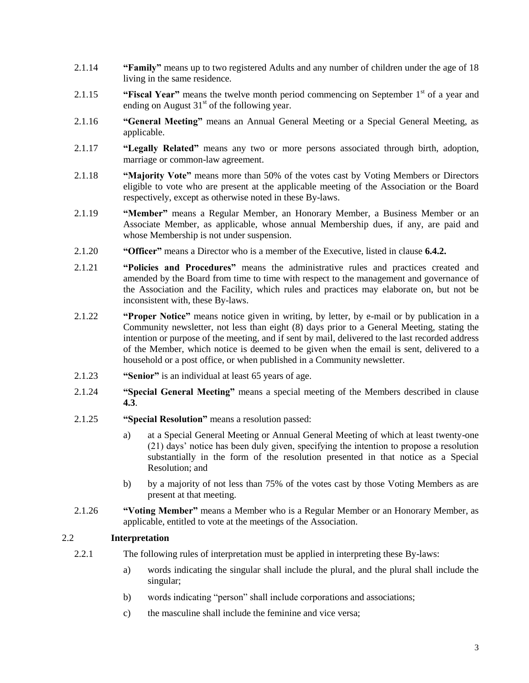- 2.1.14 **"Family"** means up to two registered Adults and any number of children under the age of 18 living in the same residence.
- 2.1.15 **"Fiscal Year"** means the twelve month period commencing on September 1<sup>st</sup> of a year and ending on August  $31<sup>st</sup>$  of the following year.
- 2.1.16 **"General Meeting"** means an Annual General Meeting or a Special General Meeting, as applicable.
- 2.1.17 **"Legally Related"** means any two or more persons associated through birth, adoption, marriage or common-law agreement.
- 2.1.18 **"Majority Vote"** means more than 50% of the votes cast by Voting Members or Directors eligible to vote who are present at the applicable meeting of the Association or the Board respectively, except as otherwise noted in these By-laws.
- 2.1.19 **"Member"** means a Regular Member, an Honorary Member, a Business Member or an Associate Member, as applicable, whose annual Membership dues, if any, are paid and whose Membership is not under suspension.
- 2.1.20 **"Officer"** means a Director who is a member of the Executive, listed in clause **6.4.2.**
- 2.1.21 **"Policies and Procedures"** means the administrative rules and practices created and amended by the Board from time to time with respect to the management and governance of the Association and the Facility, which rules and practices may elaborate on, but not be inconsistent with, these By-laws.
- 2.1.22 **"Proper Notice"** means notice given in writing, by letter, by e-mail or by publication in a Community newsletter, not less than eight (8) days prior to a General Meeting, stating the intention or purpose of the meeting, and if sent by mail, delivered to the last recorded address of the Member, which notice is deemed to be given when the email is sent, delivered to a household or a post office, or when published in a Community newsletter.
- 2.1.23 **"Senior"** is an individual at least 65 years of age.
- 2.1.24 **"Special General Meeting"** means a special meeting of the Members described in clause **4.3**.
- 2.1.25 **"Special Resolution"** means a resolution passed:
	- a) at a Special General Meeting or Annual General Meeting of which at least twenty-one (21) days' notice has been duly given, specifying the intention to propose a resolution substantially in the form of the resolution presented in that notice as a Special Resolution; and
	- b) by a majority of not less than 75% of the votes cast by those Voting Members as are present at that meeting.
- 2.1.26 **"Voting Member"** means a Member who is a Regular Member or an Honorary Member, as applicable, entitled to vote at the meetings of the Association.

## <span id="page-3-0"></span>2.2 **Interpretation**

- 2.2.1 The following rules of interpretation must be applied in interpreting these By-laws:
	- a) words indicating the singular shall include the plural, and the plural shall include the singular;
	- b) words indicating "person" shall include corporations and associations;
	- c) the masculine shall include the feminine and vice versa;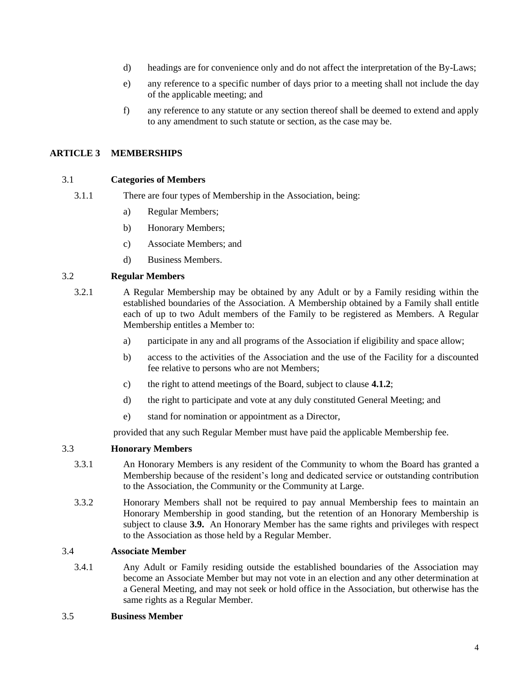- d) headings are for convenience only and do not affect the interpretation of the By-Laws;
- e) any reference to a specific number of days prior to a meeting shall not include the day of the applicable meeting; and
- f) any reference to any statute or any section thereof shall be deemed to extend and apply to any amendment to such statute or section, as the case may be.

## <span id="page-4-0"></span>**ARTICLE 3 MEMBERSHIPS**

## <span id="page-4-1"></span>3.1 **Categories of Members**

- 3.1.1 There are four types of Membership in the Association, being:
	- a) Regular Members;
	- b) Honorary Members;
	- c) Associate Members; and
	- d) Business Members.

#### <span id="page-4-2"></span>3.2 **Regular Members**

- 3.2.1 A Regular Membership may be obtained by any Adult or by a Family residing within the established boundaries of the Association. A Membership obtained by a Family shall entitle each of up to two Adult members of the Family to be registered as Members. A Regular Membership entitles a Member to:
	- a) participate in any and all programs of the Association if eligibility and space allow;
	- b) access to the activities of the Association and the use of the Facility for a discounted fee relative to persons who are not Members;
	- c) the right to attend meetings of the Board, subject to clause **4.1.2**;
	- d) the right to participate and vote at any duly constituted General Meeting; and
	- e) stand for nomination or appointment as a Director,

provided that any such Regular Member must have paid the applicable Membership fee.

## <span id="page-4-3"></span>3.3 **Honorary Members**

- 3.3.1 An Honorary Members is any resident of the Community to whom the Board has granted a Membership because of the resident's long and dedicated service or outstanding contribution to the Association, the Community or the Community at Large.
- 3.3.2 Honorary Members shall not be required to pay annual Membership fees to maintain an Honorary Membership in good standing, but the retention of an Honorary Membership is subject to clause **3.9.** An Honorary Member has the same rights and privileges with respect to the Association as those held by a Regular Member.

#### <span id="page-4-4"></span>3.4 **Associate Member**

3.4.1 Any Adult or Family residing outside the established boundaries of the Association may become an Associate Member but may not vote in an election and any other determination at a General Meeting, and may not seek or hold office in the Association, but otherwise has the same rights as a Regular Member.

#### <span id="page-4-5"></span>3.5 **Business Member**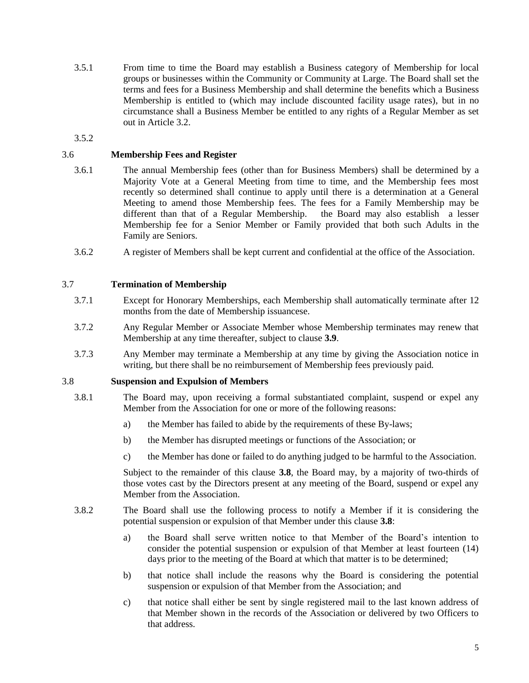3.5.1 From time to time the Board may establish a Business category of Membership for local groups or businesses within the Community or Community at Large. The Board shall set the terms and fees for a Business Membership and shall determine the benefits which a Business Membership is entitled to (which may include discounted facility usage rates), but in no circumstance shall a Business Member be entitled to any rights of a Regular Member as set out in Article 3.2.

3.5.2

## <span id="page-5-0"></span>3.6 **Membership Fees and Register**

- 3.6.1 The annual Membership fees (other than for Business Members) shall be determined by a Majority Vote at a General Meeting from time to time, and the Membership fees most recently so determined shall continue to apply until there is a determination at a General Meeting to amend those Membership fees. The fees for a Family Membership may be different than that of a Regular Membership. the Board may also establish a lesser Membership fee for a Senior Member or Family provided that both such Adults in the Family are Seniors.
- 3.6.2 A register of Members shall be kept current and confidential at the office of the Association.

## <span id="page-5-1"></span>3.7 **Termination of Membership**

- 3.7.1 Except for Honorary Memberships, each Membership shall automatically terminate after 12 months from the date of Membership issuancese.
- 3.7.2 Any Regular Member or Associate Member whose Membership terminates may renew that Membership at any time thereafter, subject to clause **3.9**.
- 3.7.3 Any Member may terminate a Membership at any time by giving the Association notice in writing, but there shall be no reimbursement of Membership fees previously paid.

## <span id="page-5-2"></span>3.8 **Suspension and Expulsion of Members**

- 3.8.1 The Board may, upon receiving a formal substantiated complaint, suspend or expel any Member from the Association for one or more of the following reasons:
	- a) the Member has failed to abide by the requirements of these By-laws;
	- b) the Member has disrupted meetings or functions of the Association; or
	- c) the Member has done or failed to do anything judged to be harmful to the Association.

Subject to the remainder of this clause **3.8**, the Board may, by a majority of two-thirds of those votes cast by the Directors present at any meeting of the Board, suspend or expel any Member from the Association.

- 3.8.2 The Board shall use the following process to notify a Member if it is considering the potential suspension or expulsion of that Member under this clause **3.8**:
	- a) the Board shall serve written notice to that Member of the Board's intention to consider the potential suspension or expulsion of that Member at least fourteen (14) days prior to the meeting of the Board at which that matter is to be determined;
	- b) that notice shall include the reasons why the Board is considering the potential suspension or expulsion of that Member from the Association; and
	- c) that notice shall either be sent by single registered mail to the last known address of that Member shown in the records of the Association or delivered by two Officers to that address.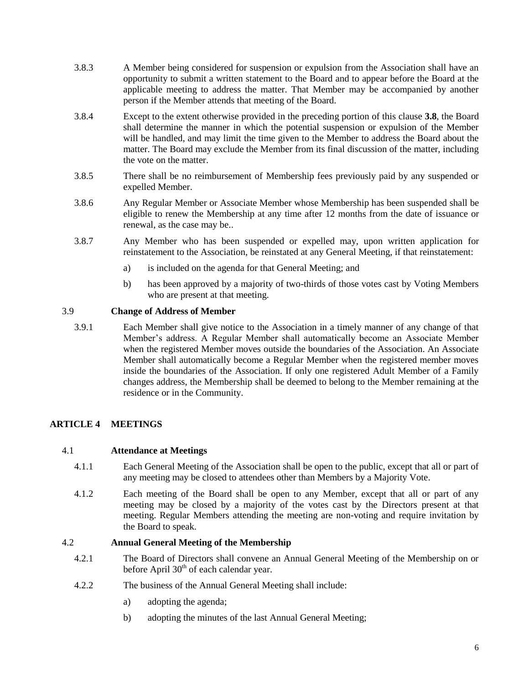- 3.8.3 A Member being considered for suspension or expulsion from the Association shall have an opportunity to submit a written statement to the Board and to appear before the Board at the applicable meeting to address the matter. That Member may be accompanied by another person if the Member attends that meeting of the Board.
- 3.8.4 Except to the extent otherwise provided in the preceding portion of this clause **3.8**, the Board shall determine the manner in which the potential suspension or expulsion of the Member will be handled, and may limit the time given to the Member to address the Board about the matter. The Board may exclude the Member from its final discussion of the matter, including the vote on the matter.
- 3.8.5 There shall be no reimbursement of Membership fees previously paid by any suspended or expelled Member.
- 3.8.6 Any Regular Member or Associate Member whose Membership has been suspended shall be eligible to renew the Membership at any time after 12 months from the date of issuance or renewal, as the case may be..
- 3.8.7 Any Member who has been suspended or expelled may, upon written application for reinstatement to the Association, be reinstated at any General Meeting, if that reinstatement:
	- a) is included on the agenda for that General Meeting; and
	- b) has been approved by a majority of two-thirds of those votes cast by Voting Members who are present at that meeting.

## <span id="page-6-0"></span>3.9 **Change of Address of Member**

3.9.1 Each Member shall give notice to the Association in a timely manner of any change of that Member's address. A Regular Member shall automatically become an Associate Member when the registered Member moves outside the boundaries of the Association. An Associate Member shall automatically become a Regular Member when the registered member moves inside the boundaries of the Association. If only one registered Adult Member of a Family changes address, the Membership shall be deemed to belong to the Member remaining at the residence or in the Community.

## <span id="page-6-1"></span>**ARTICLE 4 MEETINGS**

## <span id="page-6-2"></span>4.1 **Attendance at Meetings**

- 4.1.1 Each General Meeting of the Association shall be open to the public, except that all or part of any meeting may be closed to attendees other than Members by a Majority Vote.
- 4.1.2 Each meeting of the Board shall be open to any Member, except that all or part of any meeting may be closed by a majority of the votes cast by the Directors present at that meeting. Regular Members attending the meeting are non-voting and require invitation by the Board to speak.

## <span id="page-6-3"></span>4.2 **Annual General Meeting of the Membership**

- 4.2.1 The Board of Directors shall convene an Annual General Meeting of the Membership on or before April  $30<sup>th</sup>$  of each calendar year.
- 4.2.2 The business of the Annual General Meeting shall include:
	- a) adopting the agenda;
	- b) adopting the minutes of the last Annual General Meeting;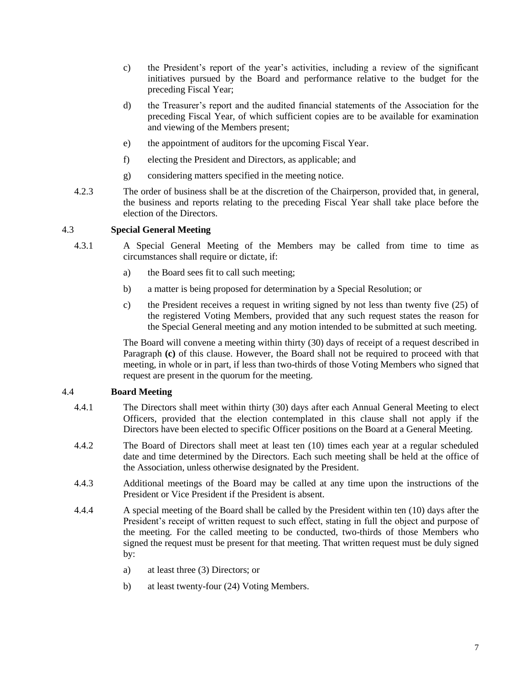- c) the President's report of the year's activities, including a review of the significant initiatives pursued by the Board and performance relative to the budget for the preceding Fiscal Year;
- d) the Treasurer's report and the audited financial statements of the Association for the preceding Fiscal Year, of which sufficient copies are to be available for examination and viewing of the Members present;
- e) the appointment of auditors for the upcoming Fiscal Year.
- f) electing the President and Directors, as applicable; and
- g) considering matters specified in the meeting notice.
- 4.2.3 The order of business shall be at the discretion of the Chairperson, provided that, in general, the business and reports relating to the preceding Fiscal Year shall take place before the election of the Directors.

## <span id="page-7-0"></span>4.3 **Special General Meeting**

- 4.3.1 A Special General Meeting of the Members may be called from time to time as circumstances shall require or dictate, if:
	- a) the Board sees fit to call such meeting;
	- b) a matter is being proposed for determination by a Special Resolution; or
	- c) the President receives a request in writing signed by not less than twenty five (25) of the registered Voting Members, provided that any such request states the reason for the Special General meeting and any motion intended to be submitted at such meeting.

The Board will convene a meeting within thirty (30) days of receipt of a request described in Paragraph **(c)** of this clause. However, the Board shall not be required to proceed with that meeting, in whole or in part, if less than two-thirds of those Voting Members who signed that request are present in the quorum for the meeting.

## <span id="page-7-1"></span>4.4 **Board Meeting**

- 4.4.1 The Directors shall meet within thirty (30) days after each Annual General Meeting to elect Officers, provided that the election contemplated in this clause shall not apply if the Directors have been elected to specific Officer positions on the Board at a General Meeting.
- 4.4.2 The Board of Directors shall meet at least ten (10) times each year at a regular scheduled date and time determined by the Directors. Each such meeting shall be held at the office of the Association, unless otherwise designated by the President.
- 4.4.3 Additional meetings of the Board may be called at any time upon the instructions of the President or Vice President if the President is absent.
- 4.4.4 A special meeting of the Board shall be called by the President within ten (10) days after the President's receipt of written request to such effect, stating in full the object and purpose of the meeting. For the called meeting to be conducted, two-thirds of those Members who signed the request must be present for that meeting. That written request must be duly signed by:
	- a) at least three (3) Directors; or
	- b) at least twenty-four (24) Voting Members.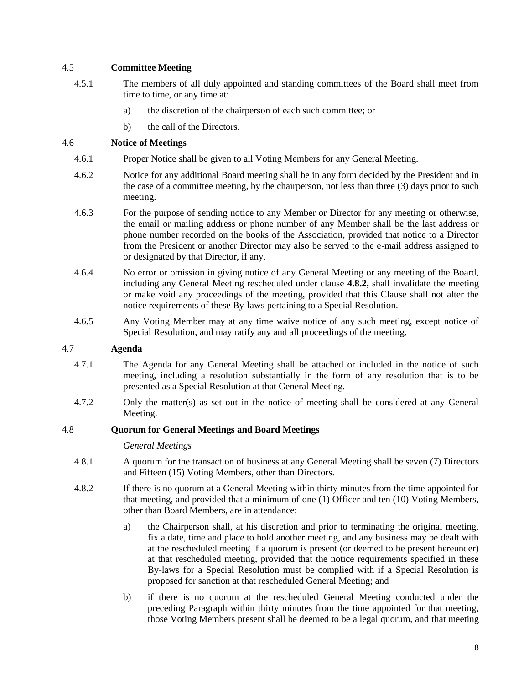## <span id="page-8-0"></span>4.5 **Committee Meeting**

- 4.5.1 The members of all duly appointed and standing committees of the Board shall meet from time to time, or any time at:
	- a) the discretion of the chairperson of each such committee; or
	- b) the call of the Directors.

## <span id="page-8-1"></span>4.6 **Notice of Meetings**

- 4.6.1 Proper Notice shall be given to all Voting Members for any General Meeting.
- 4.6.2 Notice for any additional Board meeting shall be in any form decided by the President and in the case of a committee meeting, by the chairperson, not less than three (3) days prior to such meeting.
- 4.6.3 For the purpose of sending notice to any Member or Director for any meeting or otherwise, the email or mailing address or phone number of any Member shall be the last address or phone number recorded on the books of the Association, provided that notice to a Director from the President or another Director may also be served to the e-mail address assigned to or designated by that Director, if any.
- 4.6.4 No error or omission in giving notice of any General Meeting or any meeting of the Board, including any General Meeting rescheduled under clause **4.8.2,** shall invalidate the meeting or make void any proceedings of the meeting, provided that this Clause shall not alter the notice requirements of these By-laws pertaining to a Special Resolution.
- 4.6.5 Any Voting Member may at any time waive notice of any such meeting, except notice of Special Resolution, and may ratify any and all proceedings of the meeting.

## <span id="page-8-2"></span>4.7 **Agenda**

- 4.7.1 The Agenda for any General Meeting shall be attached or included in the notice of such meeting, including a resolution substantially in the form of any resolution that is to be presented as a Special Resolution at that General Meeting.
- 4.7.2 Only the matter(s) as set out in the notice of meeting shall be considered at any General Meeting.

## <span id="page-8-3"></span>4.8 **Quorum for General Meetings and Board Meetings**

## *General Meetings*

- 4.8.1 A quorum for the transaction of business at any General Meeting shall be seven (7) Directors and Fifteen (15) Voting Members, other than Directors.
- 4.8.2 If there is no quorum at a General Meeting within thirty minutes from the time appointed for that meeting, and provided that a minimum of one (1) Officer and ten (10) Voting Members, other than Board Members, are in attendance:
	- a) the Chairperson shall, at his discretion and prior to terminating the original meeting, fix a date, time and place to hold another meeting, and any business may be dealt with at the rescheduled meeting if a quorum is present (or deemed to be present hereunder) at that rescheduled meeting, provided that the notice requirements specified in these By-laws for a Special Resolution must be complied with if a Special Resolution is proposed for sanction at that rescheduled General Meeting; and
	- b) if there is no quorum at the rescheduled General Meeting conducted under the preceding Paragraph within thirty minutes from the time appointed for that meeting, those Voting Members present shall be deemed to be a legal quorum, and that meeting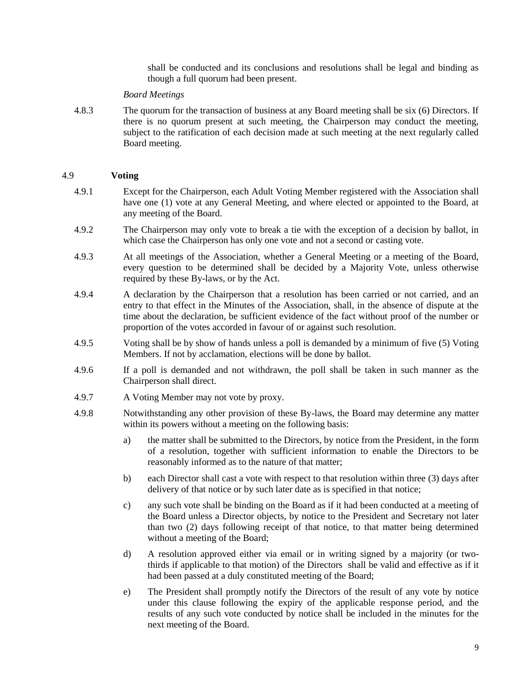shall be conducted and its conclusions and resolutions shall be legal and binding as though a full quorum had been present.

#### *Board Meetings*

4.8.3 The quorum for the transaction of business at any Board meeting shall be six (6) Directors. If there is no quorum present at such meeting, the Chairperson may conduct the meeting, subject to the ratification of each decision made at such meeting at the next regularly called Board meeting.

#### <span id="page-9-0"></span>4.9 **Voting**

- 4.9.1 Except for the Chairperson, each Adult Voting Member registered with the Association shall have one (1) vote at any General Meeting, and where elected or appointed to the Board, at any meeting of the Board.
- 4.9.2 The Chairperson may only vote to break a tie with the exception of a decision by ballot, in which case the Chairperson has only one vote and not a second or casting vote.
- 4.9.3 At all meetings of the Association, whether a General Meeting or a meeting of the Board, every question to be determined shall be decided by a Majority Vote, unless otherwise required by these By-laws, or by the Act.
- 4.9.4 A declaration by the Chairperson that a resolution has been carried or not carried, and an entry to that effect in the Minutes of the Association, shall, in the absence of dispute at the time about the declaration, be sufficient evidence of the fact without proof of the number or proportion of the votes accorded in favour of or against such resolution.
- 4.9.5 Voting shall be by show of hands unless a poll is demanded by a minimum of five (5) Voting Members. If not by acclamation, elections will be done by ballot.
- 4.9.6 If a poll is demanded and not withdrawn, the poll shall be taken in such manner as the Chairperson shall direct.
- 4.9.7 A Voting Member may not vote by proxy.
- 4.9.8 Notwithstanding any other provision of these By-laws, the Board may determine any matter within its powers without a meeting on the following basis:
	- a) the matter shall be submitted to the Directors, by notice from the President, in the form of a resolution, together with sufficient information to enable the Directors to be reasonably informed as to the nature of that matter;
	- b) each Director shall cast a vote with respect to that resolution within three (3) days after delivery of that notice or by such later date as is specified in that notice;
	- c) any such vote shall be binding on the Board as if it had been conducted at a meeting of the Board unless a Director objects, by notice to the President and Secretary not later than two (2) days following receipt of that notice, to that matter being determined without a meeting of the Board;
	- d) A resolution approved either via email or in writing signed by a majority (or twothirds if applicable to that motion) of the Directors shall be valid and effective as if it had been passed at a duly constituted meeting of the Board;
	- e) The President shall promptly notify the Directors of the result of any vote by notice under this clause following the expiry of the applicable response period, and the results of any such vote conducted by notice shall be included in the minutes for the next meeting of the Board.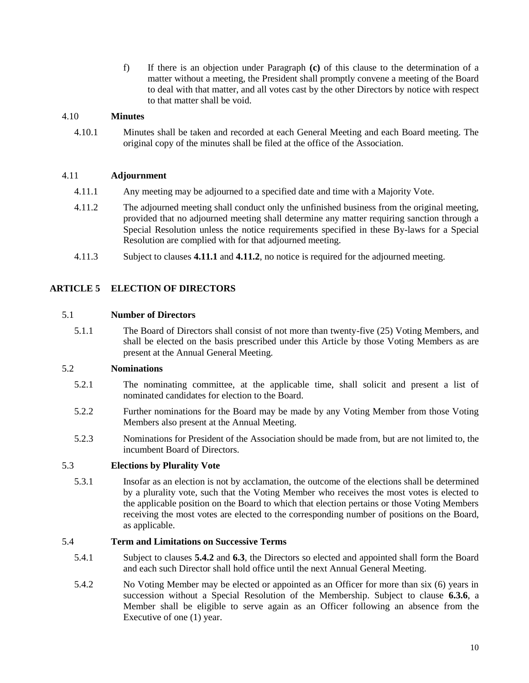f) If there is an objection under Paragraph **(c)** of this clause to the determination of a matter without a meeting, the President shall promptly convene a meeting of the Board to deal with that matter, and all votes cast by the other Directors by notice with respect to that matter shall be void.

## <span id="page-10-0"></span>4.10 **Minutes**

4.10.1 Minutes shall be taken and recorded at each General Meeting and each Board meeting. The original copy of the minutes shall be filed at the office of the Association.

## <span id="page-10-1"></span>4.11 **Adjournment**

- 4.11.1 Any meeting may be adjourned to a specified date and time with a Majority Vote.
- 4.11.2 The adjourned meeting shall conduct only the unfinished business from the original meeting, provided that no adjourned meeting shall determine any matter requiring sanction through a Special Resolution unless the notice requirements specified in these By-laws for a Special Resolution are complied with for that adjourned meeting.
- 4.11.3 Subject to clauses **4.11.1** and **4.11.2**, no notice is required for the adjourned meeting.

## <span id="page-10-2"></span>**ARTICLE 5 ELECTION OF DIRECTORS**

#### <span id="page-10-3"></span>5.1 **Number of Directors**

5.1.1 The Board of Directors shall consist of not more than twenty-five (25) Voting Members, and shall be elected on the basis prescribed under this Article by those Voting Members as are present at the Annual General Meeting.

## <span id="page-10-4"></span>5.2 **Nominations**

- 5.2.1 The nominating committee, at the applicable time, shall solicit and present a list of nominated candidates for election to the Board.
- 5.2.2 Further nominations for the Board may be made by any Voting Member from those Voting Members also present at the Annual Meeting.
- 5.2.3 Nominations for President of the Association should be made from, but are not limited to, the incumbent Board of Directors.

## <span id="page-10-5"></span>5.3 **Elections by Plurality Vote**

5.3.1 Insofar as an election is not by acclamation, the outcome of the elections shall be determined by a plurality vote, such that the Voting Member who receives the most votes is elected to the applicable position on the Board to which that election pertains or those Voting Members receiving the most votes are elected to the corresponding number of positions on the Board, as applicable.

#### 5.4 **Term and Limitations on Successive Terms**

- 5.4.1 Subject to clauses **5.4.2** and **6.3**, the Directors so elected and appointed shall form the Board and each such Director shall hold office until the next Annual General Meeting.
- 5.4.2 No Voting Member may be elected or appointed as an Officer for more than six (6) years in succession without a Special Resolution of the Membership. Subject to clause **6.3.6**, a Member shall be eligible to serve again as an Officer following an absence from the Executive of one (1) year.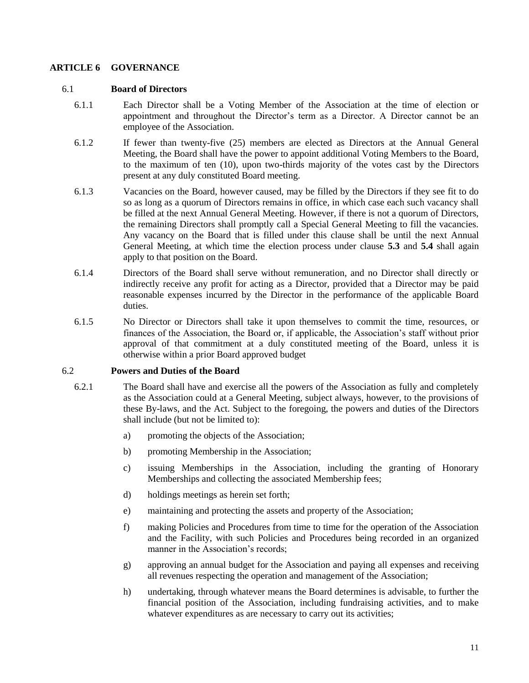## <span id="page-11-0"></span>**ARTICLE 6 GOVERNANCE**

#### <span id="page-11-1"></span>6.1 **Board of Directors**

- 6.1.1 Each Director shall be a Voting Member of the Association at the time of election or appointment and throughout the Director's term as a Director. A Director cannot be an employee of the Association.
- 6.1.2 If fewer than twenty-five (25) members are elected as Directors at the Annual General Meeting, the Board shall have the power to appoint additional Voting Members to the Board, to the maximum of ten (10), upon two-thirds majority of the votes cast by the Directors present at any duly constituted Board meeting.
- 6.1.3 Vacancies on the Board, however caused, may be filled by the Directors if they see fit to do so as long as a quorum of Directors remains in office, in which case each such vacancy shall be filled at the next Annual General Meeting. However, if there is not a quorum of Directors, the remaining Directors shall promptly call a Special General Meeting to fill the vacancies. Any vacancy on the Board that is filled under this clause shall be until the next Annual General Meeting, at which time the election process under clause **5.3** and **5.4** shall again apply to that position on the Board.
- 6.1.4 Directors of the Board shall serve without remuneration, and no Director shall directly or indirectly receive any profit for acting as a Director, provided that a Director may be paid reasonable expenses incurred by the Director in the performance of the applicable Board duties.
- 6.1.5 No Director or Directors shall take it upon themselves to commit the time, resources, or finances of the Association, the Board or, if applicable, the Association's staff without prior approval of that commitment at a duly constituted meeting of the Board, unless it is otherwise within a prior Board approved budget

## <span id="page-11-2"></span>6.2 **Powers and Duties of the Board**

- 6.2.1 The Board shall have and exercise all the powers of the Association as fully and completely as the Association could at a General Meeting, subject always, however, to the provisions of these By-laws, and the Act. Subject to the foregoing, the powers and duties of the Directors shall include (but not be limited to):
	- a) promoting the objects of the Association;
	- b) promoting Membership in the Association;
	- c) issuing Memberships in the Association, including the granting of Honorary Memberships and collecting the associated Membership fees;
	- d) holdings meetings as herein set forth;
	- e) maintaining and protecting the assets and property of the Association;
	- f) making Policies and Procedures from time to time for the operation of the Association and the Facility, with such Policies and Procedures being recorded in an organized manner in the Association's records;
	- g) approving an annual budget for the Association and paying all expenses and receiving all revenues respecting the operation and management of the Association;
	- h) undertaking, through whatever means the Board determines is advisable, to further the financial position of the Association, including fundraising activities, and to make whatever expenditures as are necessary to carry out its activities;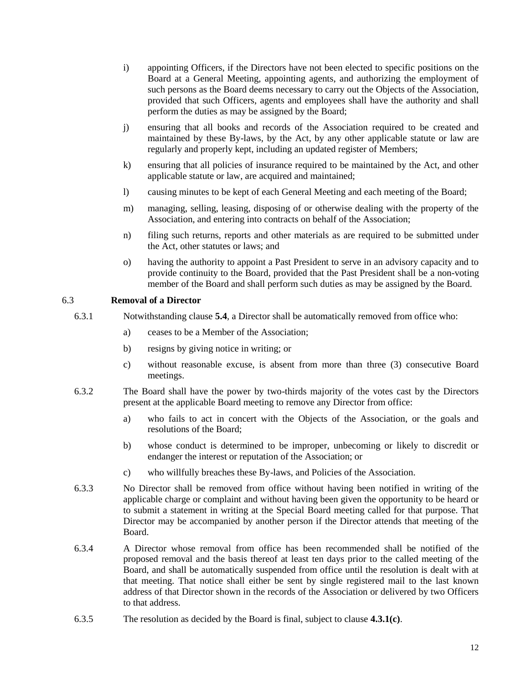- i) appointing Officers, if the Directors have not been elected to specific positions on the Board at a General Meeting, appointing agents, and authorizing the employment of such persons as the Board deems necessary to carry out the Objects of the Association, provided that such Officers, agents and employees shall have the authority and shall perform the duties as may be assigned by the Board;
- j) ensuring that all books and records of the Association required to be created and maintained by these By-laws, by the Act, by any other applicable statute or law are regularly and properly kept, including an updated register of Members;
- k) ensuring that all policies of insurance required to be maintained by the Act, and other applicable statute or law, are acquired and maintained;
- l) causing minutes to be kept of each General Meeting and each meeting of the Board;
- m) managing, selling, leasing, disposing of or otherwise dealing with the property of the Association, and entering into contracts on behalf of the Association;
- n) filing such returns, reports and other materials as are required to be submitted under the Act, other statutes or laws; and
- o) having the authority to appoint a Past President to serve in an advisory capacity and to provide continuity to the Board, provided that the Past President shall be a non-voting member of the Board and shall perform such duties as may be assigned by the Board.

## <span id="page-12-0"></span>6.3 **Removal of a Director**

- 6.3.1 Notwithstanding clause **5.4**, a Director shall be automatically removed from office who:
	- a) ceases to be a Member of the Association;
	- b) resigns by giving notice in writing; or
	- c) without reasonable excuse, is absent from more than three (3) consecutive Board meetings.
- 6.3.2 The Board shall have the power by two-thirds majority of the votes cast by the Directors present at the applicable Board meeting to remove any Director from office:
	- a) who fails to act in concert with the Objects of the Association, or the goals and resolutions of the Board;
	- b) whose conduct is determined to be improper, unbecoming or likely to discredit or endanger the interest or reputation of the Association; or
	- c) who willfully breaches these By-laws, and Policies of the Association.
- 6.3.3 No Director shall be removed from office without having been notified in writing of the applicable charge or complaint and without having been given the opportunity to be heard or to submit a statement in writing at the Special Board meeting called for that purpose. That Director may be accompanied by another person if the Director attends that meeting of the Board.
- 6.3.4 A Director whose removal from office has been recommended shall be notified of the proposed removal and the basis thereof at least ten days prior to the called meeting of the Board, and shall be automatically suspended from office until the resolution is dealt with at that meeting. That notice shall either be sent by single registered mail to the last known address of that Director shown in the records of the Association or delivered by two Officers to that address.
- 6.3.5 The resolution as decided by the Board is final, subject to clause **4.3.1(c)**.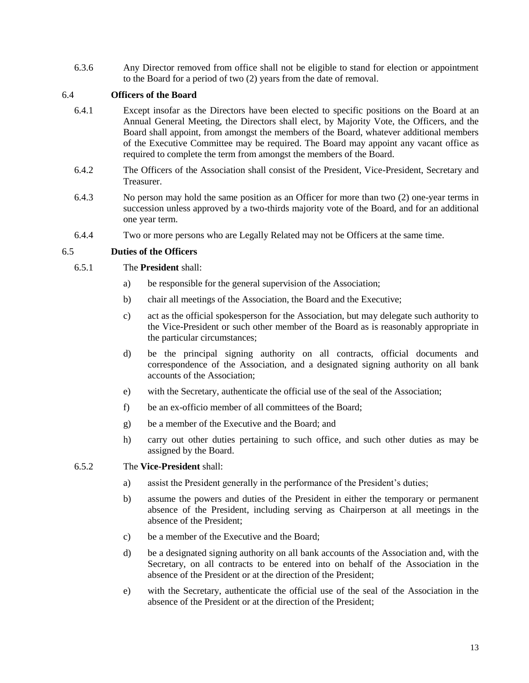6.3.6 Any Director removed from office shall not be eligible to stand for election or appointment to the Board for a period of two (2) years from the date of removal.

## <span id="page-13-0"></span>6.4 **Officers of the Board**

- 6.4.1 Except insofar as the Directors have been elected to specific positions on the Board at an Annual General Meeting, the Directors shall elect, by Majority Vote, the Officers, and the Board shall appoint, from amongst the members of the Board, whatever additional members of the Executive Committee may be required. The Board may appoint any vacant office as required to complete the term from amongst the members of the Board.
- 6.4.2 The Officers of the Association shall consist of the President, Vice-President, Secretary and Treasurer.
- 6.4.3 No person may hold the same position as an Officer for more than two (2) one-year terms in succession unless approved by a two-thirds majority vote of the Board, and for an additional one year term.
- 6.4.4 Two or more persons who are Legally Related may not be Officers at the same time.

## <span id="page-13-1"></span>6.5 **Duties of the Officers**

## 6.5.1 The **President** shall:

- a) be responsible for the general supervision of the Association;
- b) chair all meetings of the Association, the Board and the Executive;
- c) act as the official spokesperson for the Association, but may delegate such authority to the Vice-President or such other member of the Board as is reasonably appropriate in the particular circumstances;
- d) be the principal signing authority on all contracts, official documents and correspondence of the Association, and a designated signing authority on all bank accounts of the Association;
- e) with the Secretary, authenticate the official use of the seal of the Association;
- f) be an ex-officio member of all committees of the Board;
- g) be a member of the Executive and the Board; and
- h) carry out other duties pertaining to such office, and such other duties as may be assigned by the Board.

#### 6.5.2 The **Vice-President** shall:

- a) assist the President generally in the performance of the President's duties;
- b) assume the powers and duties of the President in either the temporary or permanent absence of the President, including serving as Chairperson at all meetings in the absence of the President;
- c) be a member of the Executive and the Board;
- d) be a designated signing authority on all bank accounts of the Association and, with the Secretary, on all contracts to be entered into on behalf of the Association in the absence of the President or at the direction of the President;
- e) with the Secretary, authenticate the official use of the seal of the Association in the absence of the President or at the direction of the President;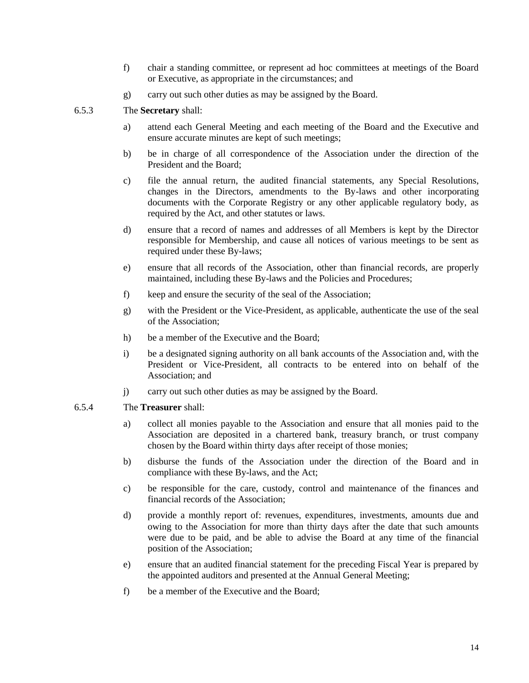- f) chair a standing committee, or represent ad hoc committees at meetings of the Board or Executive, as appropriate in the circumstances; and
- g) carry out such other duties as may be assigned by the Board.

## 6.5.3 The **Secretary** shall:

- a) attend each General Meeting and each meeting of the Board and the Executive and ensure accurate minutes are kept of such meetings;
- b) be in charge of all correspondence of the Association under the direction of the President and the Board;
- c) file the annual return, the audited financial statements, any Special Resolutions, changes in the Directors, amendments to the By-laws and other incorporating documents with the Corporate Registry or any other applicable regulatory body, as required by the Act, and other statutes or laws.
- d) ensure that a record of names and addresses of all Members is kept by the Director responsible for Membership, and cause all notices of various meetings to be sent as required under these By-laws;
- e) ensure that all records of the Association, other than financial records, are properly maintained, including these By-laws and the Policies and Procedures;
- f) keep and ensure the security of the seal of the Association;
- g) with the President or the Vice-President, as applicable, authenticate the use of the seal of the Association;
- h) be a member of the Executive and the Board;
- i) be a designated signing authority on all bank accounts of the Association and, with the President or Vice-President, all contracts to be entered into on behalf of the Association; and
- j) carry out such other duties as may be assigned by the Board.

## 6.5.4 The **Treasurer** shall:

- a) collect all monies payable to the Association and ensure that all monies paid to the Association are deposited in a chartered bank, treasury branch, or trust company chosen by the Board within thirty days after receipt of those monies;
- b) disburse the funds of the Association under the direction of the Board and in compliance with these By-laws, and the Act;
- c) be responsible for the care, custody, control and maintenance of the finances and financial records of the Association;
- d) provide a monthly report of: revenues, expenditures, investments, amounts due and owing to the Association for more than thirty days after the date that such amounts were due to be paid, and be able to advise the Board at any time of the financial position of the Association;
- e) ensure that an audited financial statement for the preceding Fiscal Year is prepared by the appointed auditors and presented at the Annual General Meeting;
- f) be a member of the Executive and the Board;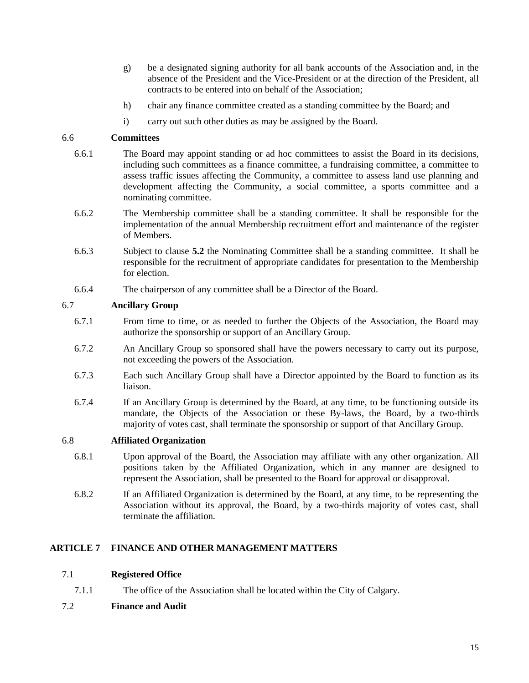- g) be a designated signing authority for all bank accounts of the Association and, in the absence of the President and the Vice-President or at the direction of the President, all contracts to be entered into on behalf of the Association;
- h) chair any finance committee created as a standing committee by the Board; and
- i) carry out such other duties as may be assigned by the Board.

## <span id="page-15-0"></span>6.6 **Committees**

- 6.6.1 The Board may appoint standing or ad hoc committees to assist the Board in its decisions, including such committees as a finance committee, a fundraising committee, a committee to assess traffic issues affecting the Community, a committee to assess land use planning and development affecting the Community, a social committee, a sports committee and a nominating committee.
- 6.6.2 The Membership committee shall be a standing committee. It shall be responsible for the implementation of the annual Membership recruitment effort and maintenance of the register of Members.
- 6.6.3 Subject to clause **5.2** the Nominating Committee shall be a standing committee. It shall be responsible for the recruitment of appropriate candidates for presentation to the Membership for election.
- 6.6.4 The chairperson of any committee shall be a Director of the Board.

## <span id="page-15-1"></span>6.7 **Ancillary Group**

- 6.7.1 From time to time, or as needed to further the Objects of the Association, the Board may authorize the sponsorship or support of an Ancillary Group.
- 6.7.2 An Ancillary Group so sponsored shall have the powers necessary to carry out its purpose, not exceeding the powers of the Association.
- 6.7.3 Each such Ancillary Group shall have a Director appointed by the Board to function as its liaison.
- 6.7.4 If an Ancillary Group is determined by the Board, at any time, to be functioning outside its mandate, the Objects of the Association or these By-laws, the Board, by a two-thirds majority of votes cast, shall terminate the sponsorship or support of that Ancillary Group.

## <span id="page-15-2"></span>6.8 **Affiliated Organization**

- 6.8.1 Upon approval of the Board, the Association may affiliate with any other organization. All positions taken by the Affiliated Organization, which in any manner are designed to represent the Association, shall be presented to the Board for approval or disapproval.
- 6.8.2 If an Affiliated Organization is determined by the Board, at any time, to be representing the Association without its approval, the Board, by a two-thirds majority of votes cast, shall terminate the affiliation.

## <span id="page-15-3"></span>**ARTICLE 7 FINANCE AND OTHER MANAGEMENT MATTERS**

## <span id="page-15-4"></span>7.1 **Registered Office**

7.1.1 The office of the Association shall be located within the City of Calgary.

## <span id="page-15-5"></span>7.2 **Finance and Audit**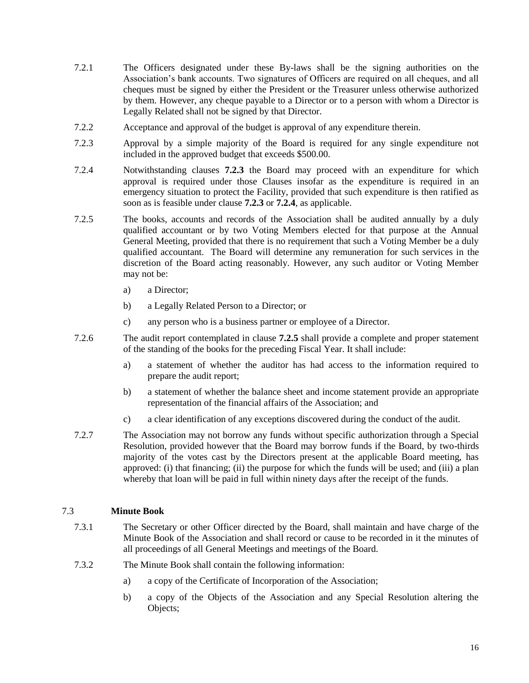- 7.2.1 The Officers designated under these By-laws shall be the signing authorities on the Association's bank accounts. Two signatures of Officers are required on all cheques, and all cheques must be signed by either the President or the Treasurer unless otherwise authorized by them. However, any cheque payable to a Director or to a person with whom a Director is Legally Related shall not be signed by that Director.
- 7.2.2 Acceptance and approval of the budget is approval of any expenditure therein.
- 7.2.3 Approval by a simple majority of the Board is required for any single expenditure not included in the approved budget that exceeds \$500.00.
- 7.2.4 Notwithstanding clauses **7.2.3** the Board may proceed with an expenditure for which approval is required under those Clauses insofar as the expenditure is required in an emergency situation to protect the Facility, provided that such expenditure is then ratified as soon as is feasible under clause **7.2.3** or **7.2.4**, as applicable.
- 7.2.5 The books, accounts and records of the Association shall be audited annually by a duly qualified accountant or by two Voting Members elected for that purpose at the Annual General Meeting, provided that there is no requirement that such a Voting Member be a duly qualified accountant. The Board will determine any remuneration for such services in the discretion of the Board acting reasonably. However, any such auditor or Voting Member may not be:
	- a) a Director;
	- b) a Legally Related Person to a Director; or
	- c) any person who is a business partner or employee of a Director.
- 7.2.6 The audit report contemplated in clause **7.2.5** shall provide a complete and proper statement of the standing of the books for the preceding Fiscal Year. It shall include:
	- a) a statement of whether the auditor has had access to the information required to prepare the audit report;
	- b) a statement of whether the balance sheet and income statement provide an appropriate representation of the financial affairs of the Association; and
	- c) a clear identification of any exceptions discovered during the conduct of the audit.
- 7.2.7 The Association may not borrow any funds without specific authorization through a Special Resolution, provided however that the Board may borrow funds if the Board, by two-thirds majority of the votes cast by the Directors present at the applicable Board meeting, has approved: (i) that financing; (ii) the purpose for which the funds will be used; and (iii) a plan whereby that loan will be paid in full within ninety days after the receipt of the funds.

## <span id="page-16-0"></span>7.3 **Minute Book**

- 7.3.1 The Secretary or other Officer directed by the Board, shall maintain and have charge of the Minute Book of the Association and shall record or cause to be recorded in it the minutes of all proceedings of all General Meetings and meetings of the Board.
- 7.3.2 The Minute Book shall contain the following information:
	- a) a copy of the Certificate of Incorporation of the Association;
	- b) a copy of the Objects of the Association and any Special Resolution altering the Objects;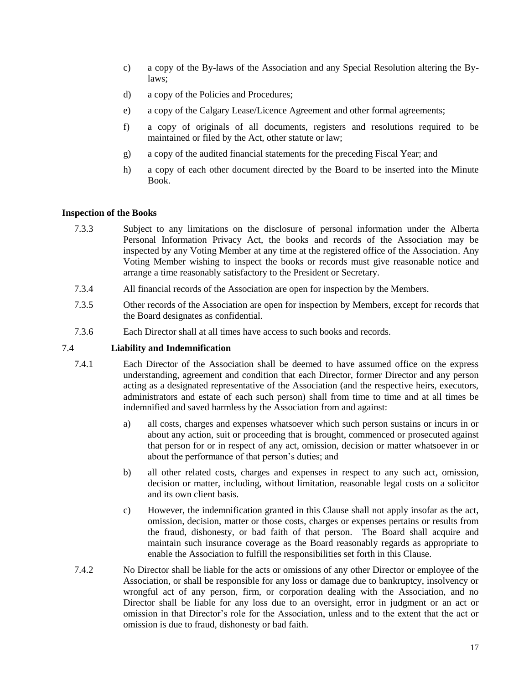- c) a copy of the By-laws of the Association and any Special Resolution altering the Bylaws;
- d) a copy of the Policies and Procedures;
- e) a copy of the Calgary Lease/Licence Agreement and other formal agreements;
- f) a copy of originals of all documents, registers and resolutions required to be maintained or filed by the Act, other statute or law;
- g) a copy of the audited financial statements for the preceding Fiscal Year; and
- h) a copy of each other document directed by the Board to be inserted into the Minute Book.

## <span id="page-17-0"></span>**Inspection of the Books**

- 7.3.3 Subject to any limitations on the disclosure of personal information under the Alberta Personal Information Privacy Act, the books and records of the Association may be inspected by any Voting Member at any time at the registered office of the Association. Any Voting Member wishing to inspect the books or records must give reasonable notice and arrange a time reasonably satisfactory to the President or Secretary.
- 7.3.4 All financial records of the Association are open for inspection by the Members.
- 7.3.5 Other records of the Association are open for inspection by Members, except for records that the Board designates as confidential.
- 7.3.6 Each Director shall at all times have access to such books and records.

## 7.4 **Liability and Indemnification**

- 7.4.1 Each Director of the Association shall be deemed to have assumed office on the express understanding, agreement and condition that each Director, former Director and any person acting as a designated representative of the Association (and the respective heirs, executors, administrators and estate of each such person) shall from time to time and at all times be indemnified and saved harmless by the Association from and against:
	- a) all costs, charges and expenses whatsoever which such person sustains or incurs in or about any action, suit or proceeding that is brought, commenced or prosecuted against that person for or in respect of any act, omission, decision or matter whatsoever in or about the performance of that person's duties; and
	- b) all other related costs, charges and expenses in respect to any such act, omission, decision or matter, including, without limitation, reasonable legal costs on a solicitor and its own client basis.
	- c) However, the indemnification granted in this Clause shall not apply insofar as the act, omission, decision, matter or those costs, charges or expenses pertains or results from the fraud, dishonesty, or bad faith of that person.The Board shall acquire and maintain such insurance coverage as the Board reasonably regards as appropriate to enable the Association to fulfill the responsibilities set forth in this Clause.
- 7.4.2 No Director shall be liable for the acts or omissions of any other Director or employee of the Association, or shall be responsible for any loss or damage due to bankruptcy, insolvency or wrongful act of any person, firm, or corporation dealing with the Association, and no Director shall be liable for any loss due to an oversight, error in judgment or an act or omission in that Director's role for the Association, unless and to the extent that the act or omission is due to fraud, dishonesty or bad faith.